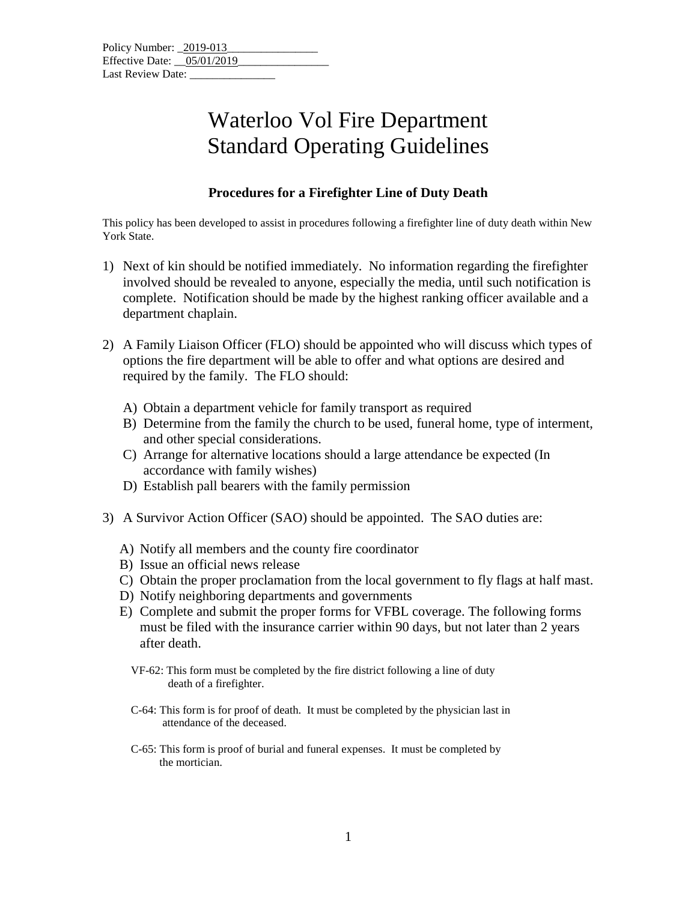## Waterloo Vol Fire Department Standard Operating Guidelines

## **Procedures for a Firefighter Line of Duty Death**

This policy has been developed to assist in procedures following a firefighter line of duty death within New York State.

- 1) Next of kin should be notified immediately. No information regarding the firefighter involved should be revealed to anyone, especially the media, until such notification is complete. Notification should be made by the highest ranking officer available and a department chaplain.
- 2) A Family Liaison Officer (FLO) should be appointed who will discuss which types of options the fire department will be able to offer and what options are desired and required by the family. The FLO should:
	- A) Obtain a department vehicle for family transport as required
	- B) Determine from the family the church to be used, funeral home, type of interment, and other special considerations.
	- C) Arrange for alternative locations should a large attendance be expected (In accordance with family wishes)
	- D) Establish pall bearers with the family permission
- 3) A Survivor Action Officer (SAO) should be appointed. The SAO duties are:
	- A) Notify all members and the county fire coordinator
	- B) Issue an official news release
	- C) Obtain the proper proclamation from the local government to fly flags at half mast.
	- D) Notify neighboring departments and governments
	- E) Complete and submit the proper forms for VFBL coverage. The following forms must be filed with the insurance carrier within 90 days, but not later than 2 years after death.
		- VF-62: This form must be completed by the fire district following a line of duty death of a firefighter.
		- C-64: This form is for proof of death. It must be completed by the physician last in attendance of the deceased.
		- C-65: This form is proof of burial and funeral expenses. It must be completed by the mortician.